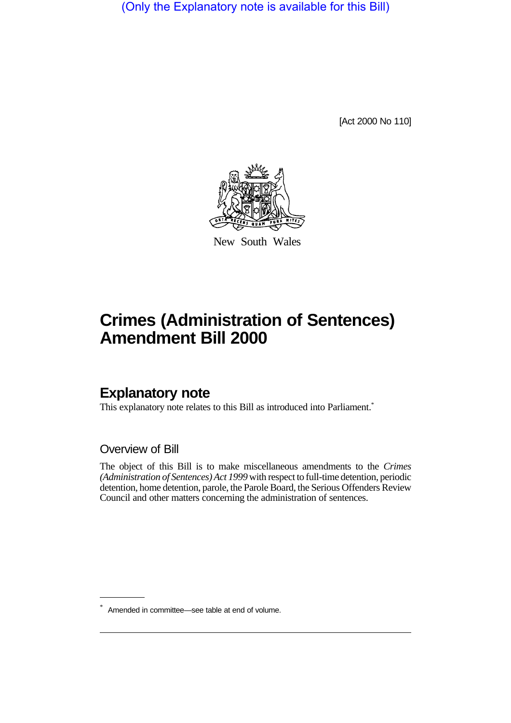(Only the Explanatory note is available for this Bill)

[Act 2000 No 110]



New South Wales

# **Crimes (Administration of Sentences) Amendment Bill 2000**

## **Explanatory note**

This explanatory note relates to this Bill as introduced into Parliament.<sup>\*</sup>

Overview of Bill

The object of this Bill is to make miscellaneous amendments to the *Crimes (Administration of Sentences) Act 1999* with respect to full-time detention, periodic detention, home detention, parole, the Parole Board, the Serious Offenders Review Council and other matters concerning the administration of sentences.

<sup>\*</sup> Amended in committee—see table at end of volume.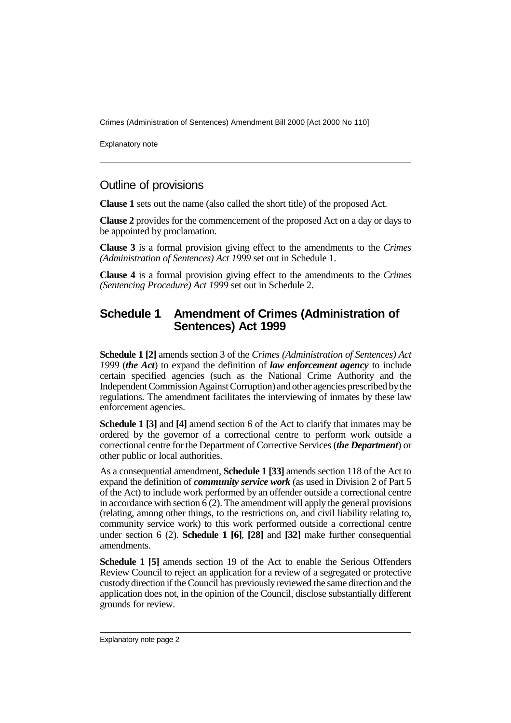Explanatory note

#### Outline of provisions

**Clause 1** sets out the name (also called the short title) of the proposed Act.

**Clause 2** provides for the commencement of the proposed Act on a day or days to be appointed by proclamation.

**Clause 3** is a formal provision giving effect to the amendments to the *Crimes (Administration of Sentences) Act 1999* set out in Schedule 1.

**Clause 4** is a formal provision giving effect to the amendments to the *Crimes (Sentencing Procedure) Act 1999* set out in Schedule 2.

#### **Schedule 1 Amendment of Crimes (Administration of Sentences) Act 1999**

**Schedule 1 [2]** amends section 3 of the *Crimes (Administration of Sentences) Act 1999* (*the Act*) to expand the definition of *law enforcement agency* to include certain specified agencies (such as the National Crime Authority and the Independent Commission Against Corruption) and other agencies prescribed by the regulations. The amendment facilitates the interviewing of inmates by these law enforcement agencies.

**Schedule 1 [3]** and **[4]** amend section 6 of the Act to clarify that inmates may be ordered by the governor of a correctional centre to perform work outside a correctional centre for the Department of Corrective Services (*the Department*) or other public or local authorities.

As a consequential amendment, **Schedule 1 [33]** amends section 118 of the Act to expand the definition of *community service work* (as used in Division 2 of Part 5 of the Act) to include work performed by an offender outside a correctional centre in accordance with section  $\overline{6}$  (2). The amendment will apply the general provisions (relating, among other things, to the restrictions on, and civil liability relating to, community service work) to this work performed outside a correctional centre under section 6 (2). **Schedule 1 [6]**, **[28]** and **[32]** make further consequential amendments.

**Schedule 1 [5]** amends section 19 of the Act to enable the Serious Offenders Review Council to reject an application for a review of a segregated or protective custody direction if the Council has previously reviewed the same direction and the application does not, in the opinion of the Council, disclose substantially different grounds for review.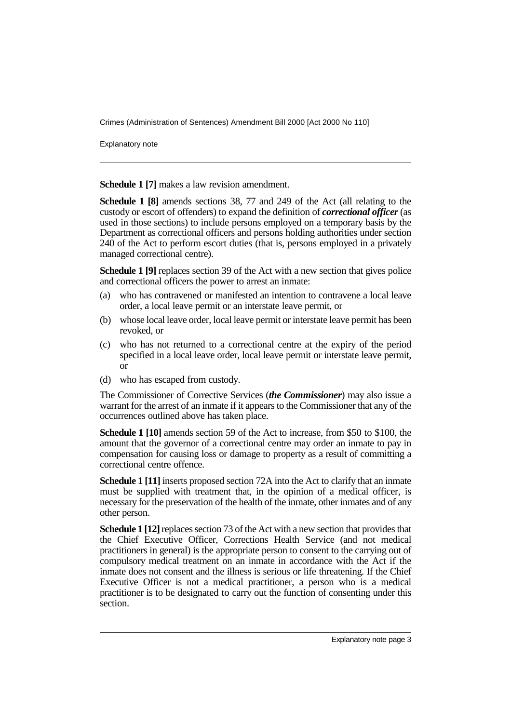Explanatory note

**Schedule 1 [7]** makes a law revision amendment.

**Schedule 1 [8]** amends sections 38, 77 and 249 of the Act (all relating to the custody or escort of offenders) to expand the definition of *correctional officer* (as used in those sections) to include persons employed on a temporary basis by the Department as correctional officers and persons holding authorities under section 240 of the Act to perform escort duties (that is, persons employed in a privately managed correctional centre).

**Schedule 1 [9]** replaces section 39 of the Act with a new section that gives police and correctional officers the power to arrest an inmate:

- (a) who has contravened or manifested an intention to contravene a local leave order, a local leave permit or an interstate leave permit, or
- (b) whose local leave order, local leave permit or interstate leave permit has been revoked, or
- (c) who has not returned to a correctional centre at the expiry of the period specified in a local leave order, local leave permit or interstate leave permit, or
- (d) who has escaped from custody.

The Commissioner of Corrective Services (*the Commissioner*) may also issue a warrant for the arrest of an inmate if it appears to the Commissioner that any of the occurrences outlined above has taken place.

**Schedule 1 [10]** amends section 59 of the Act to increase, from \$50 to \$100, the amount that the governor of a correctional centre may order an inmate to pay in compensation for causing loss or damage to property as a result of committing a correctional centre offence.

**Schedule 1 [11]** inserts proposed section 72A into the Act to clarify that an inmate must be supplied with treatment that, in the opinion of a medical officer, is necessary for the preservation of the health of the inmate, other inmates and of any other person.

**Schedule 1 [12]** replaces section 73 of the Act with a new section that provides that the Chief Executive Officer, Corrections Health Service (and not medical practitioners in general) is the appropriate person to consent to the carrying out of compulsory medical treatment on an inmate in accordance with the Act if the inmate does not consent and the illness is serious or life threatening. If the Chief Executive Officer is not a medical practitioner, a person who is a medical practitioner is to be designated to carry out the function of consenting under this section.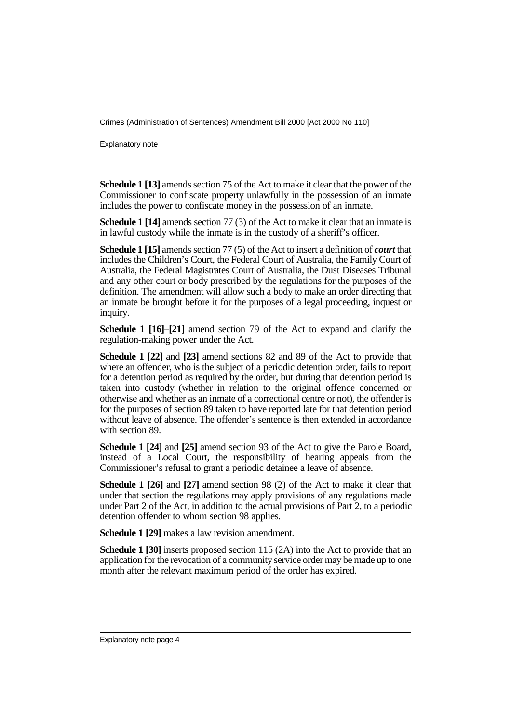Explanatory note

**Schedule 1 [13]** amends section 75 of the Act to make it clear that the power of the Commissioner to confiscate property unlawfully in the possession of an inmate includes the power to confiscate money in the possession of an inmate.

**Schedule 1 [14]** amends section 77 (3) of the Act to make it clear that an inmate is in lawful custody while the inmate is in the custody of a sheriff's officer.

**Schedule 1 [15]** amends section 77 (5) of the Act to insert a definition of *court* that includes the Children's Court, the Federal Court of Australia, the Family Court of Australia, the Federal Magistrates Court of Australia, the Dust Diseases Tribunal and any other court or body prescribed by the regulations for the purposes of the definition. The amendment will allow such a body to make an order directing that an inmate be brought before it for the purposes of a legal proceeding, inquest or inquiry.

**Schedule 1 [16]**–**[21]** amend section 79 of the Act to expand and clarify the regulation-making power under the Act.

**Schedule 1 [22]** and **[23]** amend sections 82 and 89 of the Act to provide that where an offender, who is the subject of a periodic detention order, fails to report for a detention period as required by the order, but during that detention period is taken into custody (whether in relation to the original offence concerned or otherwise and whether as an inmate of a correctional centre or not), the offender is for the purposes of section 89 taken to have reported late for that detention period without leave of absence. The offender's sentence is then extended in accordance with section 89.

**Schedule 1 [24]** and **[25]** amend section 93 of the Act to give the Parole Board, instead of a Local Court, the responsibility of hearing appeals from the Commissioner's refusal to grant a periodic detainee a leave of absence.

**Schedule 1 [26]** and **[27]** amend section 98 (2) of the Act to make it clear that under that section the regulations may apply provisions of any regulations made under Part 2 of the Act, in addition to the actual provisions of Part 2, to a periodic detention offender to whom section 98 applies.

**Schedule 1 [29]** makes a law revision amendment.

**Schedule 1 [30]** inserts proposed section 115 (2A) into the Act to provide that an application for the revocation of a community service order may be made up to one month after the relevant maximum period of the order has expired.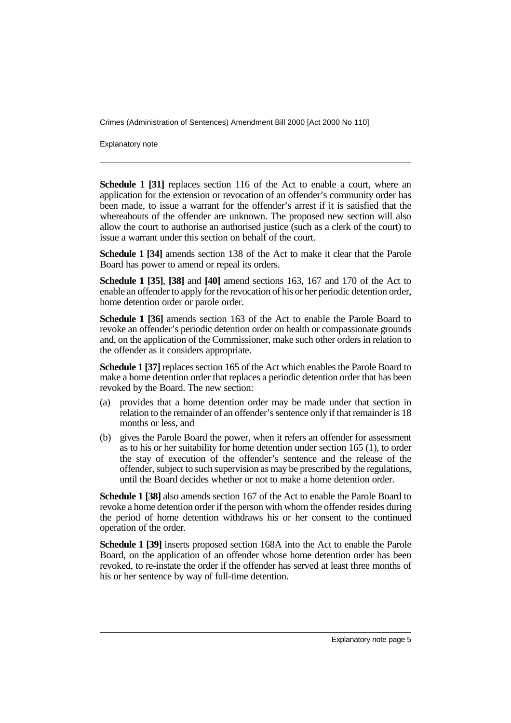Explanatory note

**Schedule 1 [31]** replaces section 116 of the Act to enable a court, where an application for the extension or revocation of an offender's community order has been made, to issue a warrant for the offender's arrest if it is satisfied that the whereabouts of the offender are unknown. The proposed new section will also allow the court to authorise an authorised justice (such as a clerk of the court) to issue a warrant under this section on behalf of the court.

**Schedule 1 [34]** amends section 138 of the Act to make it clear that the Parole Board has power to amend or repeal its orders.

**Schedule 1 [35]**, **[38]** and **[40]** amend sections 163, 167 and 170 of the Act to enable an offender to apply for the revocation of his or her periodic detention order, home detention order or parole order.

**Schedule 1 [36]** amends section 163 of the Act to enable the Parole Board to revoke an offender's periodic detention order on health or compassionate grounds and, on the application of the Commissioner, make such other orders in relation to the offender as it considers appropriate.

**Schedule 1 [37]** replaces section 165 of the Act which enables the Parole Board to make a home detention order that replaces a periodic detention order that has been revoked by the Board. The new section:

- (a) provides that a home detention order may be made under that section in relation to the remainder of an offender's sentence only if that remainder is 18 months or less, and
- (b) gives the Parole Board the power, when it refers an offender for assessment as to his or her suitability for home detention under section 165 (1), to order the stay of execution of the offender's sentence and the release of the offender, subject to such supervision as may be prescribed by the regulations, until the Board decides whether or not to make a home detention order.

**Schedule 1 [38]** also amends section 167 of the Act to enable the Parole Board to revoke a home detention order if the person with whom the offender resides during the period of home detention withdraws his or her consent to the continued operation of the order.

**Schedule 1 [39]** inserts proposed section 168A into the Act to enable the Parole Board, on the application of an offender whose home detention order has been revoked, to re-instate the order if the offender has served at least three months of his or her sentence by way of full-time detention.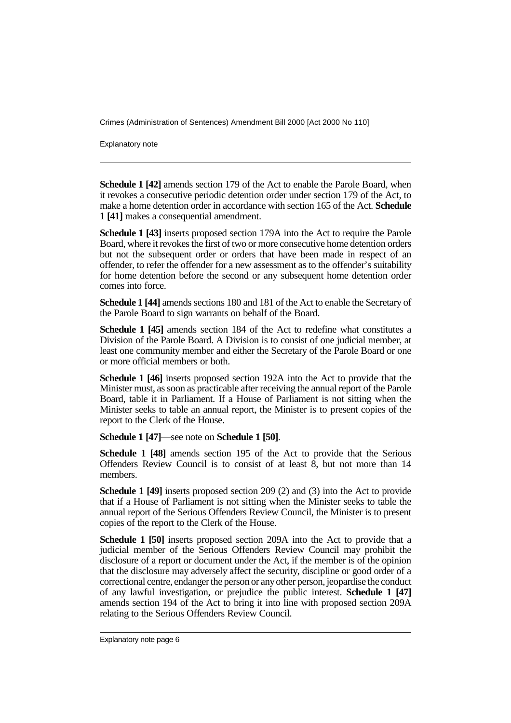Explanatory note

**Schedule 1 [42]** amends section 179 of the Act to enable the Parole Board, when it revokes a consecutive periodic detention order under section 179 of the Act, to make a home detention order in accordance with section 165 of the Act. **Schedule 1 [41]** makes a consequential amendment.

**Schedule 1 [43]** inserts proposed section 179A into the Act to require the Parole Board, where it revokes the first of two or more consecutive home detention orders but not the subsequent order or orders that have been made in respect of an offender, to refer the offender for a new assessment as to the offender's suitability for home detention before the second or any subsequent home detention order comes into force.

**Schedule 1 [44]** amends sections 180 and 181 of the Act to enable the Secretary of the Parole Board to sign warrants on behalf of the Board.

**Schedule 1 [45]** amends section 184 of the Act to redefine what constitutes a Division of the Parole Board. A Division is to consist of one judicial member, at least one community member and either the Secretary of the Parole Board or one or more official members or both.

**Schedule 1 [46]** inserts proposed section 192A into the Act to provide that the Minister must, as soon as practicable after receiving the annual report of the Parole Board, table it in Parliament. If a House of Parliament is not sitting when the Minister seeks to table an annual report, the Minister is to present copies of the report to the Clerk of the House.

**Schedule 1 [47]**—see note on **Schedule 1 [50]**.

**Schedule 1 [48]** amends section 195 of the Act to provide that the Serious Offenders Review Council is to consist of at least 8, but not more than 14 members.

**Schedule 1 [49]** inserts proposed section 209 (2) and (3) into the Act to provide that if a House of Parliament is not sitting when the Minister seeks to table the annual report of the Serious Offenders Review Council, the Minister is to present copies of the report to the Clerk of the House.

**Schedule 1 [50]** inserts proposed section 209A into the Act to provide that a judicial member of the Serious Offenders Review Council may prohibit the disclosure of a report or document under the Act, if the member is of the opinion that the disclosure may adversely affect the security, discipline or good order of a correctional centre, endanger the person or any other person, jeopardise the conduct of any lawful investigation, or prejudice the public interest. **Schedule 1 [47]** amends section 194 of the Act to bring it into line with proposed section 209A relating to the Serious Offenders Review Council.

Explanatory note page 6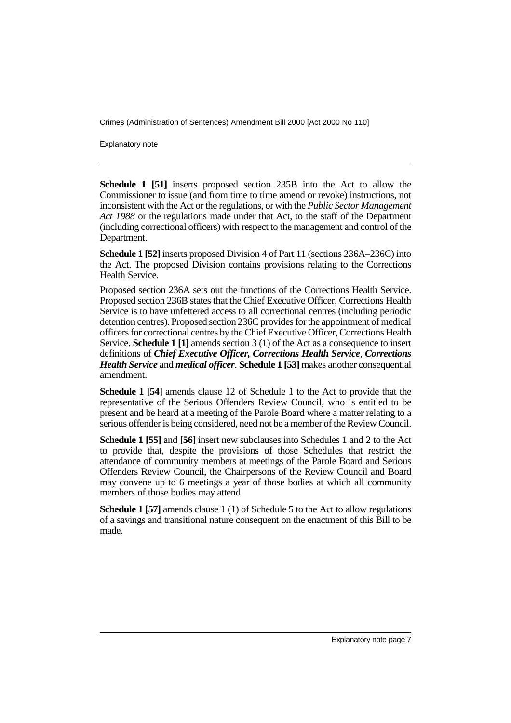Explanatory note

**Schedule 1 [51]** inserts proposed section 235B into the Act to allow the Commissioner to issue (and from time to time amend or revoke) instructions, not inconsistent with the Act or the regulations, or with the *Public Sector Management Act 1988* or the regulations made under that Act, to the staff of the Department (including correctional officers) with respect to the management and control of the Department.

**Schedule 1 [52]** inserts proposed Division 4 of Part 11 (sections 236A–236C) into the Act. The proposed Division contains provisions relating to the Corrections Health Service.

Proposed section 236A sets out the functions of the Corrections Health Service. Proposed section 236B states that the Chief Executive Officer, Corrections Health Service is to have unfettered access to all correctional centres (including periodic detention centres). Proposed section 236C provides for the appointment of medical officers for correctional centres by the Chief Executive Officer, Corrections Health Service. **Schedule 1 [1]** amends section 3 (1) of the Act as a consequence to insert definitions of *Chief Executive Officer, Corrections Health Service*, *Corrections Health Service* and *medical officer*. **Schedule 1 [53]** makes another consequential amendment.

**Schedule 1 [54]** amends clause 12 of Schedule 1 to the Act to provide that the representative of the Serious Offenders Review Council, who is entitled to be present and be heard at a meeting of the Parole Board where a matter relating to a serious offender is being considered, need not be a member of the Review Council.

**Schedule 1 [55]** and **[56]** insert new subclauses into Schedules 1 and 2 to the Act to provide that, despite the provisions of those Schedules that restrict the attendance of community members at meetings of the Parole Board and Serious Offenders Review Council, the Chairpersons of the Review Council and Board may convene up to 6 meetings a year of those bodies at which all community members of those bodies may attend.

**Schedule 1 [57]** amends clause 1 (1) of Schedule 5 to the Act to allow regulations of a savings and transitional nature consequent on the enactment of this Bill to be made.